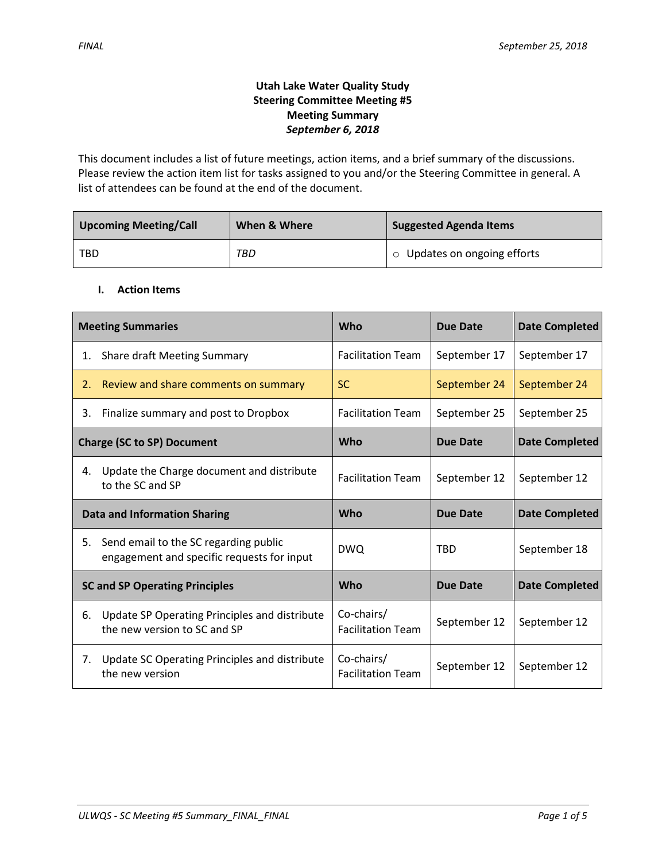## **Utah Lake Water Quality Study Steering Committee Meeting #5 Meeting Summary** *September 6, 2018*

This document includes a list of future meetings, action items, and a brief summary of the discussions. Please review the action item list for tasks assigned to you and/or the Steering Committee in general. A list of attendees can be found at the end of the document.

| <b>Upcoming Meeting/Call</b> | When & Where | <b>Suggested Agenda Items</b> |  |
|------------------------------|--------------|-------------------------------|--|
| TBD                          | TBD          | ○ Updates on ongoing efforts  |  |

### **I. Action Items**

| <b>Meeting Summaries</b>            |                                                                                     | Who                                    | <b>Due Date</b> | <b>Date Completed</b> |
|-------------------------------------|-------------------------------------------------------------------------------------|----------------------------------------|-----------------|-----------------------|
| 1.                                  | Share draft Meeting Summary                                                         | <b>Facilitation Team</b>               | September 17    | September 17          |
| 2.                                  | Review and share comments on summary                                                | <b>SC</b>                              | September 24    | September 24          |
| 3.                                  | Finalize summary and post to Dropbox                                                | <b>Facilitation Team</b>               | September 25    | September 25          |
| <b>Charge (SC to SP) Document</b>   |                                                                                     | <b>Who</b>                             | Due Date        | <b>Date Completed</b> |
| 4.                                  | Update the Charge document and distribute<br>to the SC and SP                       | <b>Facilitation Team</b>               | September 12    | September 12          |
| <b>Data and Information Sharing</b> |                                                                                     | <b>Who</b>                             | <b>Due Date</b> | <b>Date Completed</b> |
|                                     |                                                                                     |                                        |                 |                       |
| 5.                                  | Send email to the SC regarding public<br>engagement and specific requests for input | <b>DWQ</b>                             | <b>TRD</b>      | September 18          |
|                                     | <b>SC and SP Operating Principles</b>                                               | Who                                    | <b>Due Date</b> | <b>Date Completed</b> |
| 6.                                  | Update SP Operating Principles and distribute<br>the new version to SC and SP       | Co-chairs/<br><b>Facilitation Team</b> | September 12    | September 12          |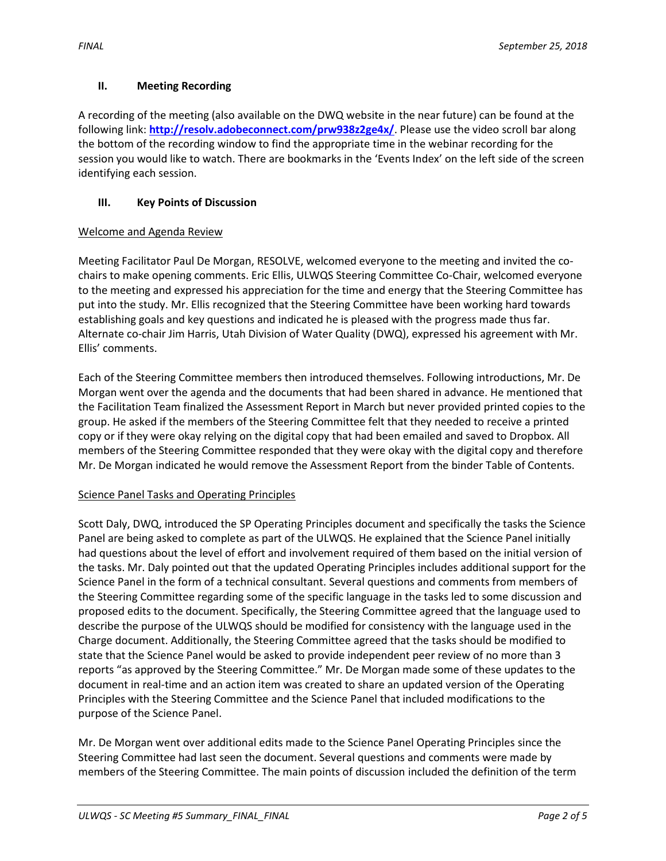## **II. Meeting Recording**

A recording of the meeting (also available on the DWQ website in the near future) can be found at the following link: **<http://resolv.adobeconnect.com/prw938z2ge4x/>**. Please use the video scroll bar along the bottom of the recording window to find the appropriate time in the webinar recording for the session you would like to watch. There are bookmarks in the 'Events Index' on the left side of the screen identifying each session.

## **III. Key Points of Discussion**

## Welcome and Agenda Review

Meeting Facilitator Paul De Morgan, RESOLVE, welcomed everyone to the meeting and invited the cochairs to make opening comments. Eric Ellis, ULWQS Steering Committee Co-Chair, welcomed everyone to the meeting and expressed his appreciation for the time and energy that the Steering Committee has put into the study. Mr. Ellis recognized that the Steering Committee have been working hard towards establishing goals and key questions and indicated he is pleased with the progress made thus far. Alternate co-chair Jim Harris, Utah Division of Water Quality (DWQ), expressed his agreement with Mr. Ellis' comments.

Each of the Steering Committee members then introduced themselves. Following introductions, Mr. De Morgan went over the agenda and the documents that had been shared in advance. He mentioned that the Facilitation Team finalized the Assessment Report in March but never provided printed copies to the group. He asked if the members of the Steering Committee felt that they needed to receive a printed copy or if they were okay relying on the digital copy that had been emailed and saved to Dropbox. All members of the Steering Committee responded that they were okay with the digital copy and therefore Mr. De Morgan indicated he would remove the Assessment Report from the binder Table of Contents.

## Science Panel Tasks and Operating Principles

Scott Daly, DWQ, introduced the SP Operating Principles document and specifically the tasks the Science Panel are being asked to complete as part of the ULWQS. He explained that the Science Panel initially had questions about the level of effort and involvement required of them based on the initial version of the tasks. Mr. Daly pointed out that the updated Operating Principles includes additional support for the Science Panel in the form of a technical consultant. Several questions and comments from members of the Steering Committee regarding some of the specific language in the tasks led to some discussion and proposed edits to the document. Specifically, the Steering Committee agreed that the language used to describe the purpose of the ULWQS should be modified for consistency with the language used in the Charge document. Additionally, the Steering Committee agreed that the tasks should be modified to state that the Science Panel would be asked to provide independent peer review of no more than 3 reports "as approved by the Steering Committee." Mr. De Morgan made some of these updates to the document in real-time and an action item was created to share an updated version of the Operating Principles with the Steering Committee and the Science Panel that included modifications to the purpose of the Science Panel.

Mr. De Morgan went over additional edits made to the Science Panel Operating Principles since the Steering Committee had last seen the document. Several questions and comments were made by members of the Steering Committee. The main points of discussion included the definition of the term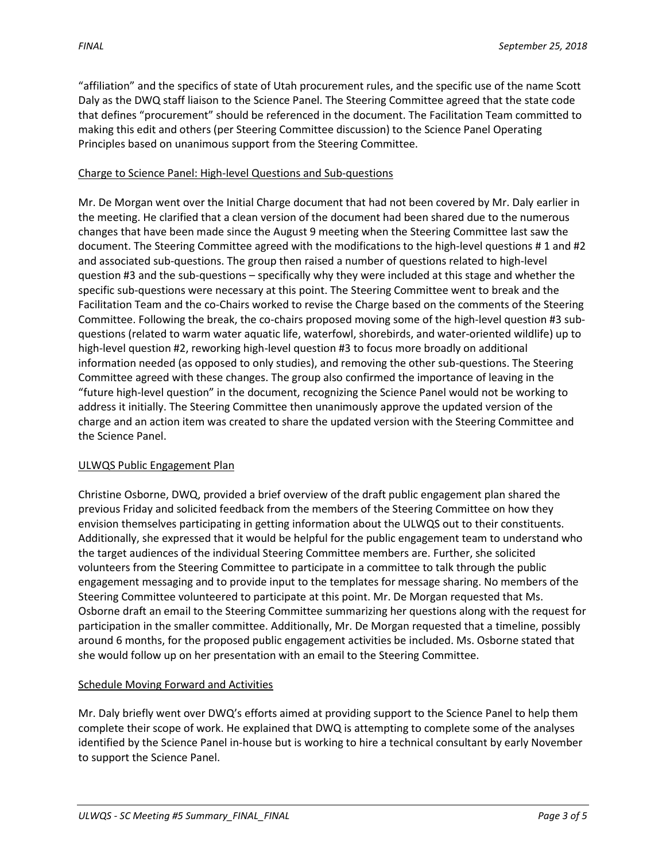"affiliation" and the specifics of state of Utah procurement rules, and the specific use of the name Scott Daly as the DWQ staff liaison to the Science Panel. The Steering Committee agreed that the state code that defines "procurement" should be referenced in the document. The Facilitation Team committed to making this edit and others (per Steering Committee discussion) to the Science Panel Operating Principles based on unanimous support from the Steering Committee.

## Charge to Science Panel: High-level Questions and Sub-questions

Mr. De Morgan went over the Initial Charge document that had not been covered by Mr. Daly earlier in the meeting. He clarified that a clean version of the document had been shared due to the numerous changes that have been made since the August 9 meeting when the Steering Committee last saw the document. The Steering Committee agreed with the modifications to the high-level questions # 1 and #2 and associated sub-questions. The group then raised a number of questions related to high-level question #3 and the sub-questions – specifically why they were included at this stage and whether the specific sub-questions were necessary at this point. The Steering Committee went to break and the Facilitation Team and the co-Chairs worked to revise the Charge based on the comments of the Steering Committee. Following the break, the co-chairs proposed moving some of the high-level question #3 subquestions (related to warm water aquatic life, waterfowl, shorebirds, and water-oriented wildlife) up to high-level question #2, reworking high-level question #3 to focus more broadly on additional information needed (as opposed to only studies), and removing the other sub-questions. The Steering Committee agreed with these changes. The group also confirmed the importance of leaving in the "future high-level question" in the document, recognizing the Science Panel would not be working to address it initially. The Steering Committee then unanimously approve the updated version of the charge and an action item was created to share the updated version with the Steering Committee and the Science Panel.

## ULWQS Public Engagement Plan

Christine Osborne, DWQ, provided a brief overview of the draft public engagement plan shared the previous Friday and solicited feedback from the members of the Steering Committee on how they envision themselves participating in getting information about the ULWQS out to their constituents. Additionally, she expressed that it would be helpful for the public engagement team to understand who the target audiences of the individual Steering Committee members are. Further, she solicited volunteers from the Steering Committee to participate in a committee to talk through the public engagement messaging and to provide input to the templates for message sharing. No members of the Steering Committee volunteered to participate at this point. Mr. De Morgan requested that Ms. Osborne draft an email to the Steering Committee summarizing her questions along with the request for participation in the smaller committee. Additionally, Mr. De Morgan requested that a timeline, possibly around 6 months, for the proposed public engagement activities be included. Ms. Osborne stated that she would follow up on her presentation with an email to the Steering Committee.

## Schedule Moving Forward and Activities

Mr. Daly briefly went over DWQ's efforts aimed at providing support to the Science Panel to help them complete their scope of work. He explained that DWQ is attempting to complete some of the analyses identified by the Science Panel in-house but is working to hire a technical consultant by early November to support the Science Panel.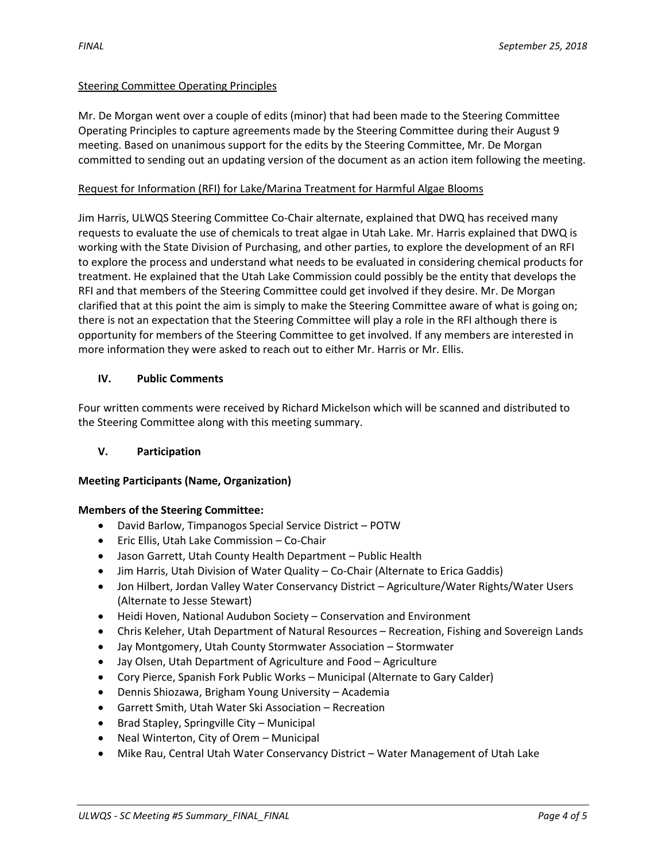### Steering Committee Operating Principles

Mr. De Morgan went over a couple of edits (minor) that had been made to the Steering Committee Operating Principles to capture agreements made by the Steering Committee during their August 9 meeting. Based on unanimous support for the edits by the Steering Committee, Mr. De Morgan committed to sending out an updating version of the document as an action item following the meeting.

#### Request for Information (RFI) for Lake/Marina Treatment for Harmful Algae Blooms

Jim Harris, ULWQS Steering Committee Co-Chair alternate, explained that DWQ has received many requests to evaluate the use of chemicals to treat algae in Utah Lake. Mr. Harris explained that DWQ is working with the State Division of Purchasing, and other parties, to explore the development of an RFI to explore the process and understand what needs to be evaluated in considering chemical products for treatment. He explained that the Utah Lake Commission could possibly be the entity that develops the RFI and that members of the Steering Committee could get involved if they desire. Mr. De Morgan clarified that at this point the aim is simply to make the Steering Committee aware of what is going on; there is not an expectation that the Steering Committee will play a role in the RFI although there is opportunity for members of the Steering Committee to get involved. If any members are interested in more information they were asked to reach out to either Mr. Harris or Mr. Ellis.

#### **IV. Public Comments**

Four written comments were received by Richard Mickelson which will be scanned and distributed to the Steering Committee along with this meeting summary.

### **V. Participation**

### **Meeting Participants (Name, Organization)**

#### **Members of the Steering Committee:**

- David Barlow, Timpanogos Special Service District POTW
- Eric Ellis, Utah Lake Commission Co-Chair
- Jason Garrett, Utah County Health Department Public Health
- Jim Harris, Utah Division of Water Quality Co-Chair (Alternate to Erica Gaddis)
- Jon Hilbert, Jordan Valley Water Conservancy District Agriculture/Water Rights/Water Users (Alternate to Jesse Stewart)
- Heidi Hoven, National Audubon Society Conservation and Environment
- Chris Keleher, Utah Department of Natural Resources Recreation, Fishing and Sovereign Lands
- Jay Montgomery, Utah County Stormwater Association Stormwater
- Jay Olsen, Utah Department of Agriculture and Food Agriculture
- Cory Pierce, Spanish Fork Public Works Municipal (Alternate to Gary Calder)
- Dennis Shiozawa, Brigham Young University Academia
- Garrett Smith, Utah Water Ski Association Recreation
- Brad Stapley, Springville City Municipal
- Neal Winterton, City of Orem Municipal
- Mike Rau, Central Utah Water Conservancy District Water Management of Utah Lake